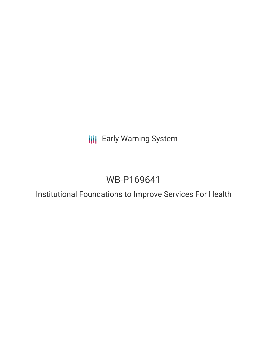**III** Early Warning System

# WB-P169641

Institutional Foundations to Improve Services For Health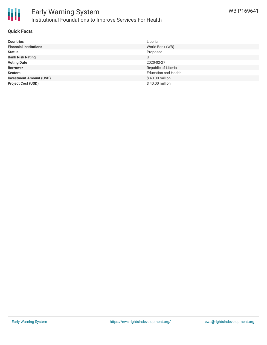

## Early Warning System Institutional Foundations to Improve Services For Health

#### **Quick Facts**

| <b>Countries</b>               | Liberia                     |
|--------------------------------|-----------------------------|
| <b>Financial Institutions</b>  | World Bank (WB)             |
| <b>Status</b>                  | Proposed                    |
| <b>Bank Risk Rating</b>        | U                           |
| <b>Voting Date</b>             | 2020-02-27                  |
| <b>Borrower</b>                | Republic of Liberia         |
| <b>Sectors</b>                 | <b>Education and Health</b> |
| <b>Investment Amount (USD)</b> | \$40.00 million             |
| <b>Project Cost (USD)</b>      | \$40.00 million             |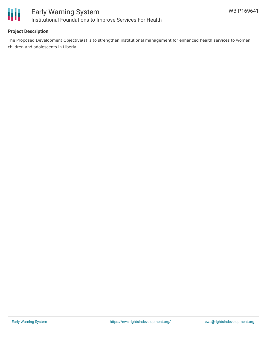

### **Project Description**

The Proposed Development Objective(s) is to strengthen institutional management for enhanced health services to women, children and adolescents in Liberia.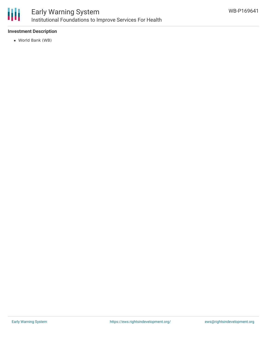

### Early Warning System Institutional Foundations to Improve Services For Health

### **Investment Description**

World Bank (WB)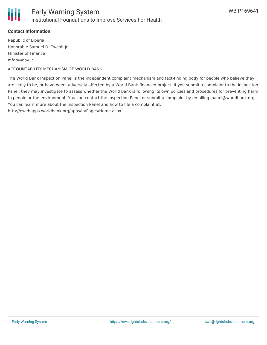

### **Contact Information**

Republic of Liberia Honorable Samuel D. Tweah Jr. Minister of Finance mfdp@gov.lr

ACCOUNTABILITY MECHANISM OF WORLD BANK

The World Bank Inspection Panel is the independent complaint mechanism and fact-finding body for people who believe they are likely to be, or have been, adversely affected by a World Bank-financed project. If you submit a complaint to the Inspection Panel, they may investigate to assess whether the World Bank is following its own policies and procedures for preventing harm to people or the environment. You can contact the Inspection Panel or submit a complaint by emailing ipanel@worldbank.org. You can learn more about the Inspection Panel and how to file a complaint at: http://ewebapps.worldbank.org/apps/ip/Pages/Home.aspx.